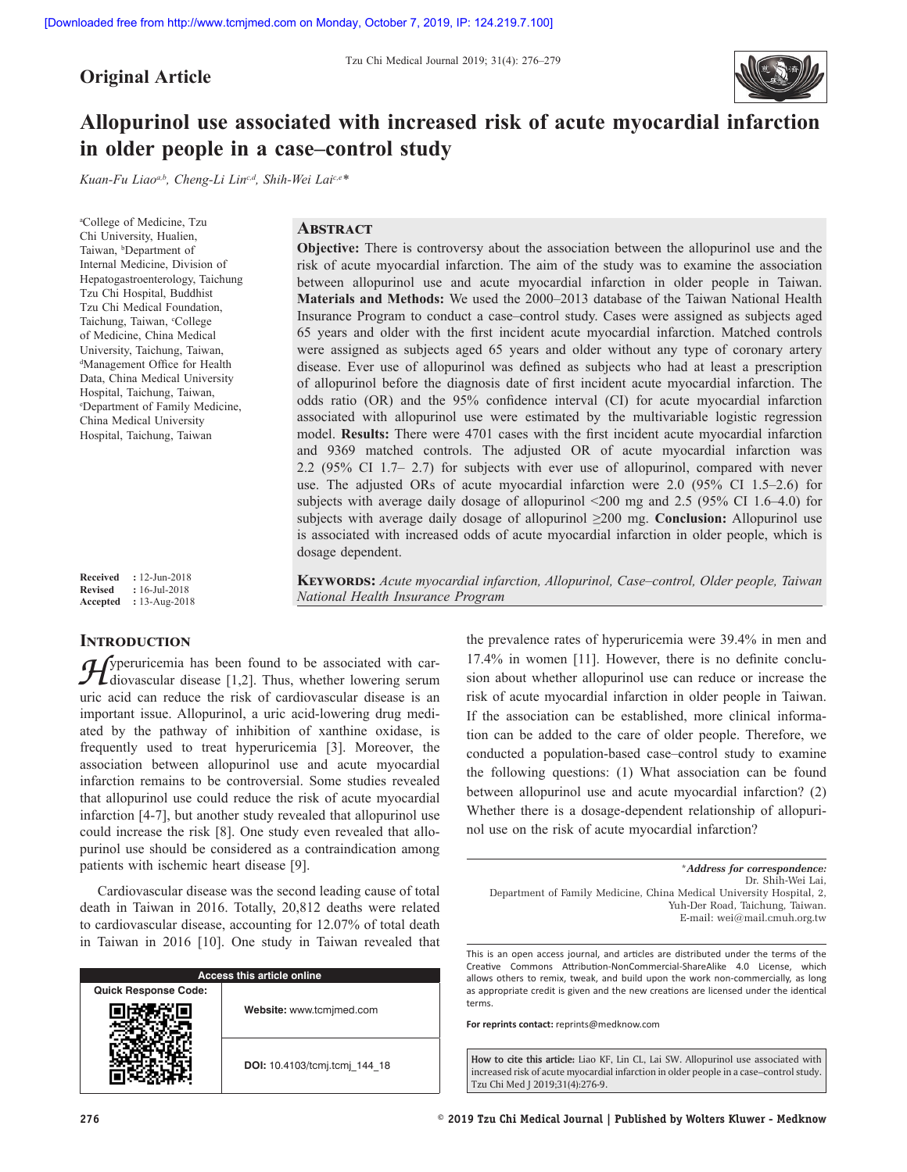**Original Article**



# **Allopurinol use associated with increased risk of acute myocardial infarction in older people in a case–control study**

*Kuan‑Fu Liaoa,b, Cheng‑Li Linc,d, Shih‑Wei Laic,e\**

a College of Medicine, Tzu Chi University, Hualien, Taiwan, <sup>b</sup>Department of Internal Medicine, Division of Hepatogastroenterology, Taichung Tzu Chi Hospital, Buddhist Tzu Chi Medical Foundation, Taichung, Taiwan, <sup>c</sup>College of Medicine, China Medical University, Taichung, Taiwan, d Management Office for Health Data, China Medical University Hospital, Taichung, Taiwan, e Department of Family Medicine, China Medical University Hospital, Taichung, Taiwan

# **Abstract**

*National Health Insurance Program*

**Objective:** There is controversy about the association between the allopurinol use and the risk of acute myocardial infarction. The aim of the study was to examine the association between allopurinol use and acute myocardial infarction in older people in Taiwan. **Materials and Methods:** We used the 2000–2013 database of the Taiwan National Health Insurance Program to conduct a case–control study. Cases were assigned as subjects aged 65 years and older with the first incident acute myocardial infarction. Matched controls were assigned as subjects aged 65 years and older without any type of coronary artery disease. Ever use of allopurinol was defined as subjects who had at least a prescription of allopurinol before the diagnosis date of first incident acute myocardial infarction. The odds ratio (OR) and the 95% confidence interval (CI) for acute myocardial infarction associated with allopurinol use were estimated by the multivariable logistic regression model. **Results:** There were 4701 cases with the first incident acute myocardial infarction and 9369 matched controls. The adjusted OR of acute myocardial infarction was 2.2 (95% CI 1.7– 2.7) for subjects with ever use of allopurinol, compared with never use. The adjusted ORs of acute myocardial infarction were 2.0 (95% CI 1.5–2.6) for subjects with average daily dosage of allopurinol <200 mg and 2.5 (95% CI 1.6–4.0) for subjects with average daily dosage of allopurinol ≥200 mg. **Conclusion:** Allopurinol use is associated with increased odds of acute myocardial infarction in older people, which is dosage dependent.

**Keywords:** *Acute myocardial infarction, Allopurinol, Case–control, Older people, Taiwan* 

**Received :** 12-Jun-2018 **Revised :** 16-Jul-2018 **Accepted :** 13-Aug-2018

# **INTRODUCTION**

*H*yperuricemia has been found to be associated with car-<br>diovascular disease [1,2]. Thus, whether lowering serum<br>with seid can reduce the right of explicit experience is an uric acid can reduce the risk of cardiovascular disease is an important issue. Allopurinol, a uric acid-lowering drug mediated by the pathway of inhibition of xanthine oxidase, is frequently used to treat hyperuricemia [3]. Moreover, the association between allopurinol use and acute myocardial infarction remains to be controversial. Some studies revealed that allopurinol use could reduce the risk of acute myocardial infarction [4-7], but another study revealed that allopurinol use could increase the risk [8]. One study even revealed that allopurinol use should be considered as a contraindication among patients with ischemic heart disease [9].

Cardiovascular disease was the second leading cause of total death in Taiwan in 2016. Totally, 20,812 deaths were related to cardiovascular disease, accounting for 12.07% of total death in Taiwan in 2016 [10]. One study in Taiwan revealed that

| Access this article online  |                               |  |  |  |
|-----------------------------|-------------------------------|--|--|--|
| <b>Quick Response Code:</b> |                               |  |  |  |
|                             | Website: www.tcmjmed.com      |  |  |  |
|                             | DOI: 10.4103/tcmj.tcmj 144 18 |  |  |  |

the prevalence rates of hyperuricemia were 39.4% in men and 17.4% in women [11]. However, there is no definite conclusion about whether allopurinol use can reduce or increase the risk of acute myocardial infarction in older people in Taiwan. If the association can be established, more clinical information can be added to the care of older people. Therefore, we conducted a population-based case–control study to examine the following questions: (1) What association can be found between allopurinol use and acute myocardial infarction? (2) Whether there is a dosage-dependent relationship of allopuri-

nol use on the risk of acute myocardial infarction? \**Address for correspondence:* Dr. Shih‑Wei Lai,

Department of Family Medicine, China Medical University Hospital, 2, Yuh-Der Road, Taichung, Taiwan. E‑mail: wei@mail.cmuh.org.tw

This is an open access journal, and articles are distributed under the terms of the Creative Commons Attribution-NonCommercial-ShareAlike 4.0 License, which allows others to remix, tweak, and build upon the work non-commercially, as long as appropriate credit is given and the new creations are licensed under the identical terms.

**For reprints contact:** reprints@medknow.com

**How to cite this article:** Liao KF, Lin CL, Lai SW. Allopurinol use associated with increased risk of acute myocardial infarction in older people in a case–control study. Tzu Chi Med J 2019;31(4):276-9.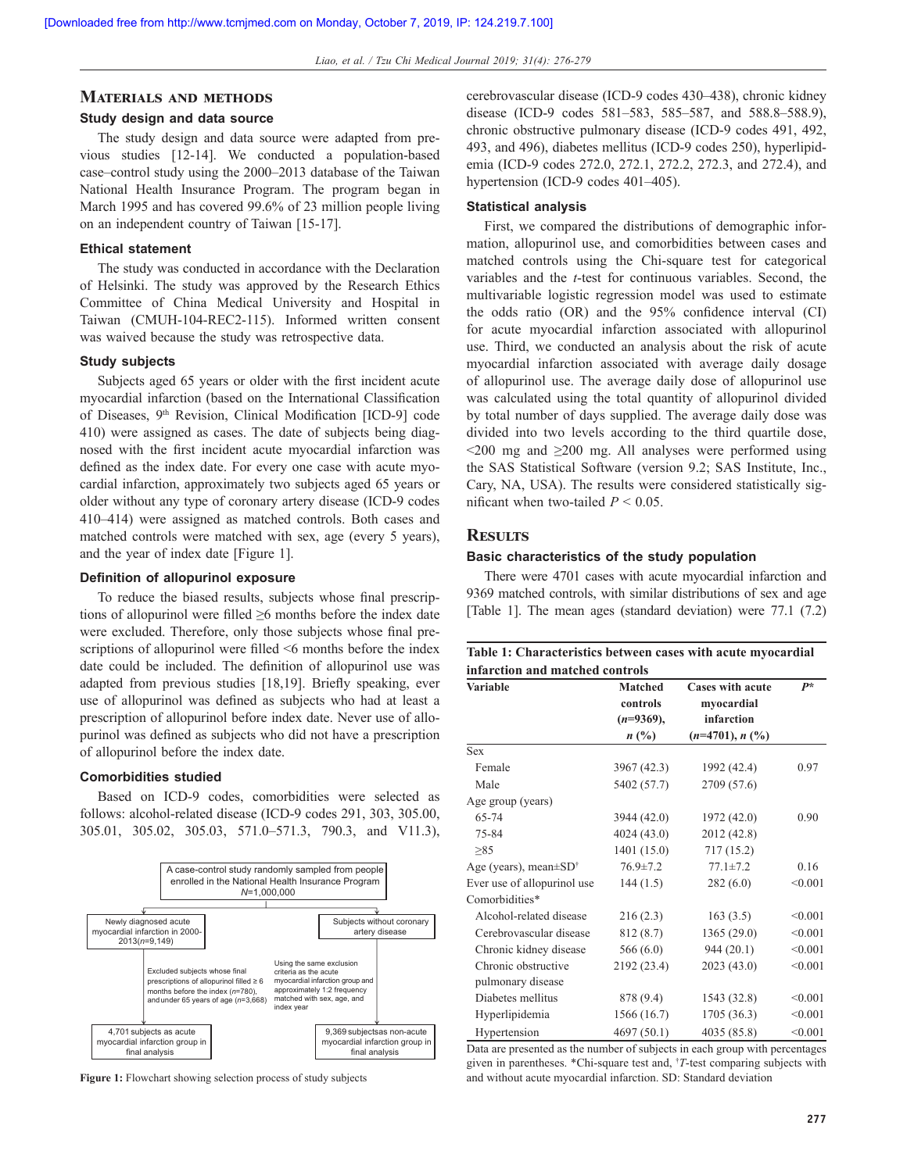#### **Materials and methods**

#### **Study design and data source**

The study design and data source were adapted from previous studies [12-14]. We conducted a population-based case–control study using the 2000–2013 database of the Taiwan National Health Insurance Program. The program began in March 1995 and has covered 99.6% of 23 million people living on an independent country of Taiwan [15-17].

#### **Ethical statement**

The study was conducted in accordance with the Declaration of Helsinki. The study was approved by the Research Ethics Committee of China Medical University and Hospital in Taiwan (CMUH-104-REC2-115). Informed written consent was waived because the study was retrospective data.

#### **Study subjects**

Subjects aged 65 years or older with the first incident acute myocardial infarction (based on the International Classification of Diseases, 9<sup>th</sup> Revision, Clinical Modification [ICD-9] code 410) were assigned as cases. The date of subjects being diagnosed with the first incident acute myocardial infarction was defined as the index date. For every one case with acute myocardial infarction, approximately two subjects aged 65 years or older without any type of coronary artery disease (ICD-9 codes 410–414) were assigned as matched controls. Both cases and matched controls were matched with sex, age (every 5 years), and the year of index date [Figure 1].

## **Definition of allopurinol exposure**

To reduce the biased results, subjects whose final prescriptions of allopurinol were filled ≥6 months before the index date were excluded. Therefore, only those subjects whose final prescriptions of allopurinol were filled  $\leq 6$  months before the index date could be included. The definition of allopurinol use was adapted from previous studies [18,19]. Briefly speaking, ever use of allopurinol was defined as subjects who had at least a prescription of allopurinol before index date. Never use of allopurinol was defined as subjects who did not have a prescription of allopurinol before the index date.

#### **Comorbidities studied**

Based on ICD-9 codes, comorbidities were selected as follows: alcohol-related disease (ICD-9 codes 291, 303, 305.00, 305.01, 305.02, 305.03, 571.0–571.3, 790.3, and V11.3),



**Figure 1:** Flowchart showing selection process of study subjects

cerebrovascular disease (ICD-9 codes 430–438), chronic kidney disease (ICD-9 codes 581–583, 585–587, and 588.8–588.9), chronic obstructive pulmonary disease (ICD-9 codes 491, 492, 493, and 496), diabetes mellitus (ICD-9 codes 250), hyperlipidemia (ICD-9 codes 272.0, 272.1, 272.2, 272.3, and 272.4), and hypertension (ICD-9 codes 401–405).

#### **Statistical analysis**

First, we compared the distributions of demographic information, allopurinol use, and comorbidities between cases and matched controls using the Chi-square test for categorical variables and the *t*-test for continuous variables. Second, the multivariable logistic regression model was used to estimate the odds ratio (OR) and the 95% confidence interval (CI) for acute myocardial infarction associated with allopurinol use. Third, we conducted an analysis about the risk of acute myocardial infarction associated with average daily dosage of allopurinol use. The average daily dose of allopurinol use was calculated using the total quantity of allopurinol divided by total number of days supplied. The average daily dose was divided into two levels according to the third quartile dose,  $\leq$ 200 mg and  $\geq$ 200 mg. All analyses were performed using the SAS Statistical Software (version 9.2; SAS Institute, Inc., Cary, NA, USA). The results were considered statistically significant when two-tailed  $P < 0.05$ .

#### **Results**

#### **Basic characteristics of the study population**

There were 4701 cases with acute myocardial infarction and 9369 matched controls, with similar distributions of sex and age [Table 1]. The mean ages (standard deviation) were 77.1 (7.2)

| Table 1: Characteristics between cases with acute myocardial |                                           |                                                     |         |  |  |  |  |  |
|--------------------------------------------------------------|-------------------------------------------|-----------------------------------------------------|---------|--|--|--|--|--|
| infarction and matched controls                              |                                           |                                                     |         |  |  |  |  |  |
| <b>Variable</b>                                              | <b>Matched</b><br>controls<br>$(n=9369),$ | <b>Cases with acute</b><br>myocardial<br>infarction | $P^*$   |  |  |  |  |  |
| Sex                                                          | $n(^{0}/_{0})$                            | $(n=4701), n (%)$                                   |         |  |  |  |  |  |
| Female                                                       | 3967 (42.3)                               | 1992 (42.4)                                         | 0.97    |  |  |  |  |  |
| Male                                                         | 5402 (57.7)                               | 2709 (57.6)                                         |         |  |  |  |  |  |
| Age group (years)                                            |                                           |                                                     |         |  |  |  |  |  |
| 65-74                                                        | 3944 (42.0)                               | 1972 (42.0)                                         | 0.90    |  |  |  |  |  |
| 75-84                                                        | 4024(43.0)                                | 2012 (42.8)                                         |         |  |  |  |  |  |
| >85                                                          | 1401 (15.0)                               | 717(15.2)                                           |         |  |  |  |  |  |
| Age (years), mean $\pm SD^{\dagger}$                         | $76.9 \pm 7.2$                            | $77.1 \pm 7.2$                                      | 0.16    |  |  |  |  |  |
| Ever use of allopurinol use                                  | 144(1.5)                                  | 282(6.0)                                            | < 0.001 |  |  |  |  |  |
| Comorbidities*                                               |                                           |                                                     |         |  |  |  |  |  |
| Alcohol-related disease                                      | 216(2.3)                                  | 163(3.5)                                            | < 0.001 |  |  |  |  |  |
| Cerebrovascular disease                                      | 812 (8.7)                                 | 1365(29.0)                                          | < 0.001 |  |  |  |  |  |
| Chronic kidney disease                                       | 566 $(6.0)$                               | 944(20.1)                                           | < 0.001 |  |  |  |  |  |
| Chronic obstructive                                          | 2192 (23.4)                               | 2023 (43.0)                                         | < 0.001 |  |  |  |  |  |
| pulmonary disease                                            |                                           |                                                     |         |  |  |  |  |  |
| Diabetes mellitus                                            | 878 (9.4)                                 | 1543 (32.8)                                         | < 0.001 |  |  |  |  |  |
| Hyperlipidemia                                               | 1566 (16.7)                               | 1705 (36.3)                                         | < 0.001 |  |  |  |  |  |
| Hypertension                                                 | 4697(50.1)                                | 4035 (85.8)                                         | < 0.001 |  |  |  |  |  |

Data are presented as the number of subjects in each group with percentages given in parentheses. \*Chi-square test and, † *T*-test comparing subjects with and without acute myocardial infarction. SD: Standard deviation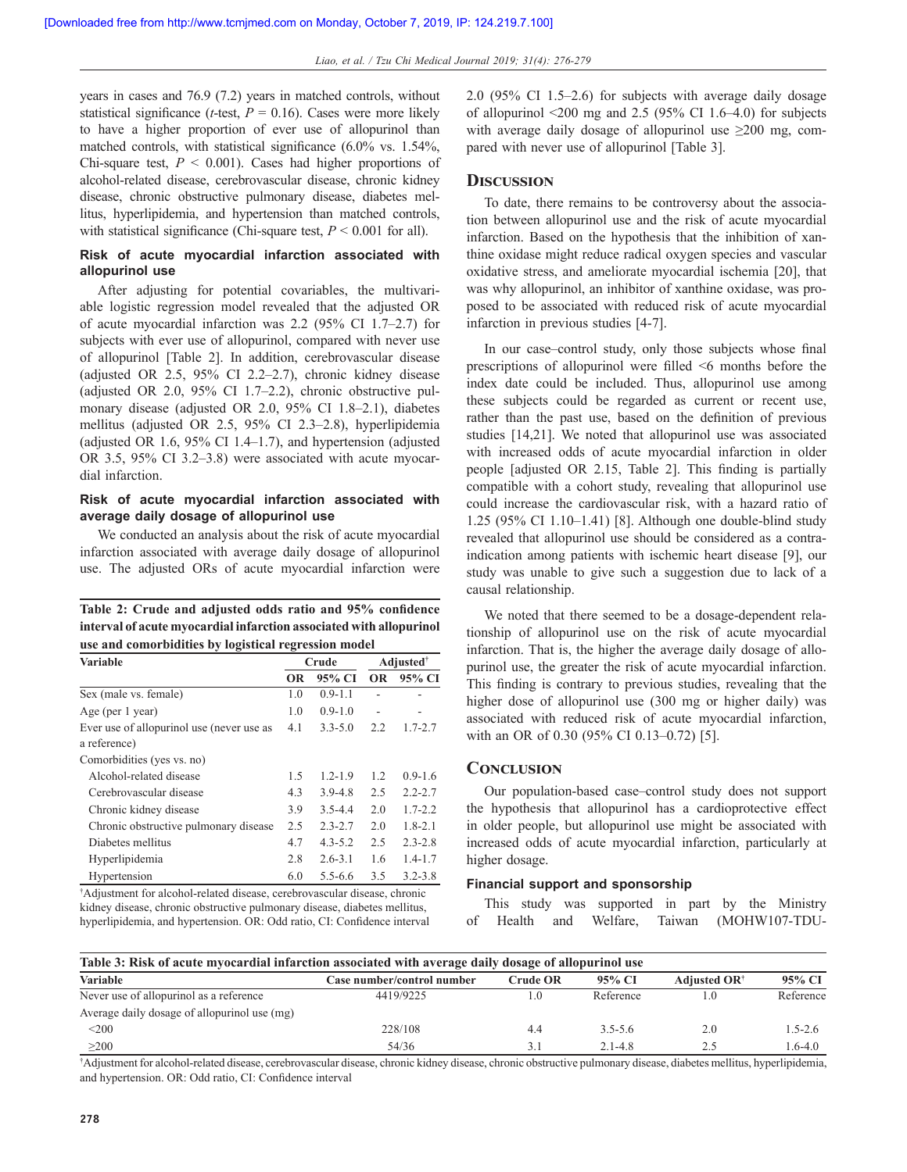years in cases and 76.9 (7.2) years in matched controls, without statistical significance (*t*-test,  $P = 0.16$ ). Cases were more likely to have a higher proportion of ever use of allopurinol than matched controls, with statistical significance (6.0% vs. 1.54%, Chi-square test, *P* < 0.001). Cases had higher proportions of alcohol-related disease, cerebrovascular disease, chronic kidney disease, chronic obstructive pulmonary disease, diabetes mellitus, hyperlipidemia, and hypertension than matched controls, with statistical significance (Chi-square test,  $P \le 0.001$  for all).

# **Risk of acute myocardial infarction associated with allopurinol use**

After adjusting for potential covariables, the multivariable logistic regression model revealed that the adjusted OR of acute myocardial infarction was 2.2 (95% CI 1.7–2.7) for subjects with ever use of allopurinol, compared with never use of allopurinol [Table 2]. In addition, cerebrovascular disease (adjusted OR 2.5, 95% CI 2.2–2.7), chronic kidney disease (adjusted OR 2.0, 95% CI 1.7–2.2), chronic obstructive pulmonary disease (adjusted OR 2.0, 95% CI 1.8–2.1), diabetes mellitus (adjusted OR 2.5, 95% CI 2.3–2.8), hyperlipidemia (adjusted OR 1.6, 95% CI 1.4–1.7), and hypertension (adjusted OR 3.5, 95% CI 3.2–3.8) were associated with acute myocardial infarction.

# **Risk of acute myocardial infarction associated with average daily dosage of allopurinol use**

We conducted an analysis about the risk of acute myocardial infarction associated with average daily dosage of allopurinol use. The adjusted ORs of acute myocardial infarction were

|                                                      |  |  |  | Table 2: Crude and adjusted odds ratio and 95% confidence           |
|------------------------------------------------------|--|--|--|---------------------------------------------------------------------|
|                                                      |  |  |  | interval of acute myocardial infarction associated with allopurinol |
| use and comorbidities by logistical regression model |  |  |  |                                                                     |

| <b>Variable</b>                           |     | Crude       | <b>Adjusted</b> <sup>†</sup> |             |
|-------------------------------------------|-----|-------------|------------------------------|-------------|
|                                           | ОR  | 95% CI      | <b>OR</b>                    | 95% CI      |
| Sex (male vs. female)                     | 1.0 | $0.9 - 1.1$ |                              |             |
| Age (per 1 year)                          | 1.0 | $0.9 - 1.0$ |                              |             |
| Ever use of allopurinol use (never use as | 4.1 | $3.3 - 5.0$ | 2.2                          | $1.7 - 2.7$ |
| a reference)                              |     |             |                              |             |
| Comorbidities (yes vs. no)                |     |             |                              |             |
| Alcohol-related disease                   | 1.5 | $1.2 - 1.9$ | 1.2                          | $0.9 - 1.6$ |
| Cerebrovascular disease                   | 4.3 | $3.9 - 4.8$ | 2.5                          | $2.2 - 2.7$ |
| Chronic kidney disease                    | 3.9 | $3.5 - 4.4$ | 2.0                          | $1.7 - 2.2$ |
| Chronic obstructive pulmonary disease     | 2.5 | $2.3 - 2.7$ | 2.0                          | $1.8 - 2.1$ |
| Diabetes mellitus                         | 4.7 | $4.3 - 5.2$ | 2.5                          | $2.3 - 2.8$ |
| Hyperlipidemia                            | 2.8 | $2.6 - 3.1$ | 1.6                          | $1.4 - 1.7$ |
| Hypertension                              | 6.0 | $5.5 - 6.6$ | 3.5                          | $3.2 - 3.8$ |

† Adjustment for alcohol-related disease, cerebrovascular disease, chronic kidney disease, chronic obstructive pulmonary disease, diabetes mellitus, hyperlipidemia, and hypertension. OR: Odd ratio, CI: Confidence interval 2.0 (95% CI 1.5–2.6) for subjects with average daily dosage of allopurinol  $\leq 200$  mg and 2.5 (95% CI 1.6–4.0) for subjects with average daily dosage of allopurinol use  $\geq 200$  mg, compared with never use of allopurinol [Table 3].

# **Discussion**

To date, there remains to be controversy about the association between allopurinol use and the risk of acute myocardial infarction. Based on the hypothesis that the inhibition of xanthine oxidase might reduce radical oxygen species and vascular oxidative stress, and ameliorate myocardial ischemia [20], that was why allopurinol, an inhibitor of xanthine oxidase, was proposed to be associated with reduced risk of acute myocardial infarction in previous studies [4-7].

In our case–control study, only those subjects whose final prescriptions of allopurinol were filled <6 months before the index date could be included. Thus, allopurinol use among these subjects could be regarded as current or recent use, rather than the past use, based on the definition of previous studies [14,21]. We noted that allopurinol use was associated with increased odds of acute myocardial infarction in older people [adjusted OR 2.15, Table 2]. This finding is partially compatible with a cohort study, revealing that allopurinol use could increase the cardiovascular risk, with a hazard ratio of 1.25 (95% CI 1.10–1.41) [8]. Although one double-blind study revealed that allopurinol use should be considered as a contraindication among patients with ischemic heart disease [9], our study was unable to give such a suggestion due to lack of a causal relationship.

We noted that there seemed to be a dosage-dependent relationship of allopurinol use on the risk of acute myocardial infarction. That is, the higher the average daily dosage of allopurinol use, the greater the risk of acute myocardial infarction. This finding is contrary to previous studies, revealing that the higher dose of allopurinol use (300 mg or higher daily) was associated with reduced risk of acute myocardial infarction, with an OR of 0.30 (95% CI 0.13–0.72) [5].

## **Conclusion**

Our population-based case–control study does not support the hypothesis that allopurinol has a cardioprotective effect in older people, but allopurinol use might be associated with increased odds of acute myocardial infarction, particularly at higher dosage.

#### **Financial support and sponsorship**

This study was supported in part by the Ministry of Health and Welfare, Taiwan (MOHW107-TDU-

| Table 3: Risk of acute myocardial infarction associated with average daily dosage of allopurinol use |                            |                 |             |                                |             |  |  |  |
|------------------------------------------------------------------------------------------------------|----------------------------|-----------------|-------------|--------------------------------|-------------|--|--|--|
| <b>Variable</b>                                                                                      | Case number/control number | <b>Crude OR</b> | 95% CI      | <b>Adjusted OR<sup>†</sup></b> | 95% CI      |  |  |  |
| Never use of allopurinol as a reference                                                              | 4419/9225                  | $\Omega$        | Reference   |                                | Reference   |  |  |  |
| Average daily dosage of allopurinol use (mg)                                                         |                            |                 |             |                                |             |  |  |  |
| $\leq 200$                                                                                           | 228/108                    | 4.4             | $3.5 - 5.6$ | 2.0                            | $1.5 - 2.6$ |  |  |  |
| >200                                                                                                 | 54/36                      |                 | $2.1 - 4.8$ |                                | $1.6 - 4.0$ |  |  |  |

† Adjustment for alcohol-related disease, cerebrovascular disease, chronic kidney disease, chronic obstructive pulmonary disease, diabetes mellitus, hyperlipidemia, and hypertension. OR: Odd ratio, CI: Confidence interval